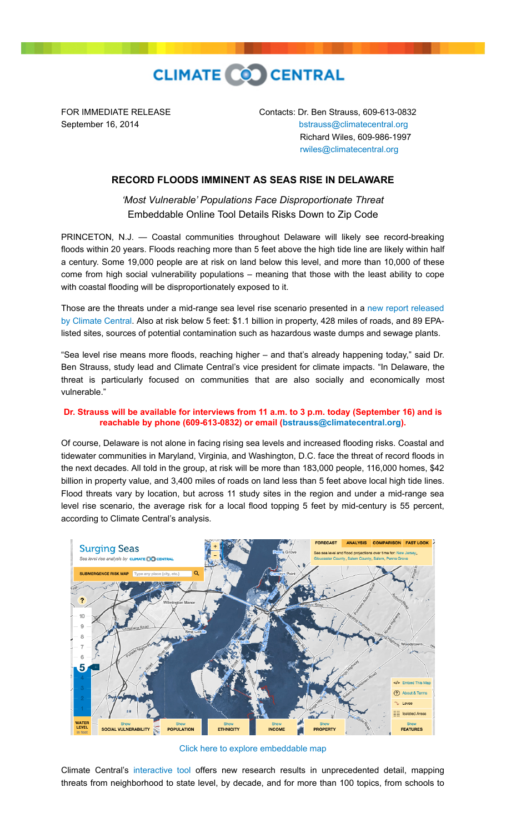

FOR IMMEDIATE RELEASE Contacts: Dr. Ben Strauss, 609-613-0832 September 16, 2014 **[bstrauss@climatecentral.org](mailto:bstrauss@climatecentral.org)**  Richard Wiles, 609-986-1997 [rwiles@climatecentral.org](mailto:rwiles@climatecentral.org)

## **RECORD FLOODS IMMINENT AS SEAS RISE IN DELAWARE**

*'Most Vulnerable' Populations Face Disproportionate Threat* Embeddable Online Tool Details Risks Down to Zip Code

PRINCETON, N.J. — Coastal communities throughout Delaware will likely see record-breaking floods within 20 years. Floods reaching more than 5 feet above the high tide line are likely within half a century. Some 19,000 people are at risk on land below this level, and more than 10,000 of these come from high social vulnerability populations – meaning that those with the least ability to cope with coastal flooding will be disproportionately exposed to it.

Those are the threats under a mid-range sea level rise scenario presented in a new report released [by Climate Central. Also at risk below 5 feet: \\$1.1 billion in property, 428 miles of roads, and 89 EPA](http://sealevel.climatecentral.org/ssrf/delaware)listed sites, sources of potential contamination such as hazardous waste dumps and sewage plants.

"Sea level rise means more floods, reaching higher – and that's already happening today," said Dr. Ben Strauss, study lead and Climate Central's vice president for climate impacts. "In Delaware, the threat is particularly focused on communities that are also socially and economically most vulnerable."

## **Dr. Strauss will be available for interviews from 11 a.m. to 3 p.m. today (September 16) and is reachable by phone (609-613-0832) or email [\(bstrauss@climatecentral.org](mailto:bstrauss@climatecentral.org)).**

Of course, Delaware is not alone in facing rising sea levels and increased flooding risks. Coastal and tidewater communities in Maryland, Virginia, and Washington, D.C. face the threat of record floods in the next decades. All told in the group, at risk will be more than 183,000 people, 116,000 homes, \$42 billion in property value, and 3,400 miles of roads on land less than 5 feet above local high tide lines. Flood threats vary by location, but across 11 study sites in the region and under a mid-range sea level rise scenario, the average risk for a local flood topping 5 feet by mid-century is 55 percent, according to Climate Central's analysis.



[Click here to explore embeddable map](http://ss2.climatecentral.org/#12/39.6572/-75.5032?show=satellite&level=5&pois=hide)

Climate Central's [interactive tool](http://sealevel.climatecentral.org/ssrf/delaware) offers new research results in unprecedented detail, mapping threats from neighborhood to state level, by decade, and for more than 100 topics, from schools to